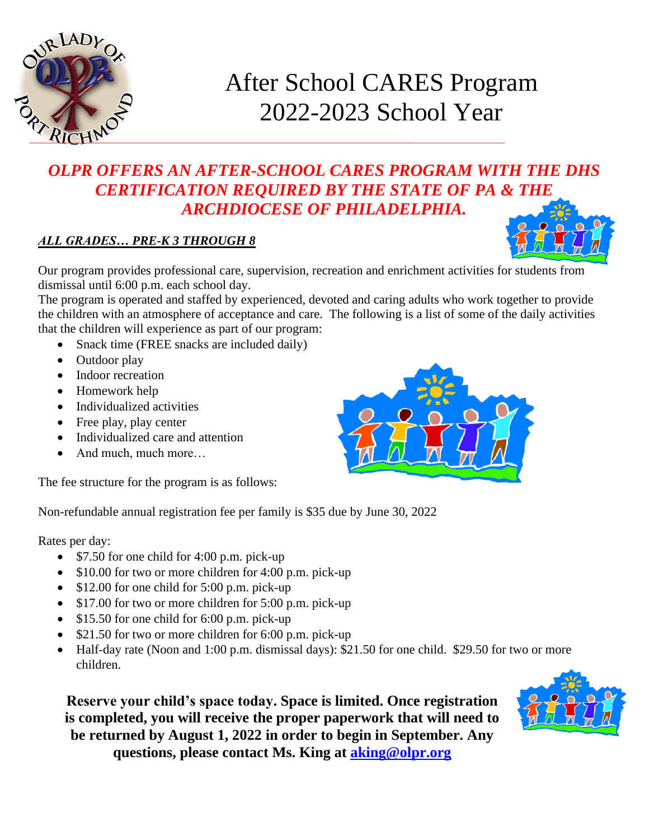

# After School CARES Program 2022-2023 School Year

### *OLPR OFFERS AN AFTER-SCHOOL CARES PROGRAM WITH THE DHS CERTIFICATION REQUIRED BY THE STATE OF PA & THE ARCHDIOCESE OF PHILADELPHIA.*

#### *ALL GRADES… PRE-K 3 THROUGH 8*

Our program provides professional care, supervision, recreation and enrichment activities for students from dismissal until 6:00 p.m. each school day.

The program is operated and staffed by experienced, devoted and caring adults who work together to provide the children with an atmosphere of acceptance and care. The following is a list of some of the daily activities that the children will experience as part of our program:

- Snack time (FREE snacks are included daily)
- Outdoor play
- Indoor recreation
- Homework help
- Individualized activities
- Free play, play center
- Individualized care and attention
- And much, much more...

The fee structure for the program is as follows:

Non-refundable annual registration fee per family is \$35 due by June 30, 2022

Rates per day:

- \$7.50 for one child for 4:00 p.m. pick-up
- \$10.00 for two or more children for 4:00 p.m. pick-up
- \$12.00 for one child for 5:00 p.m. pick-up
- \$17.00 for two or more children for 5:00 p.m. pick-up
- \$15.50 for one child for 6:00 p.m. pick-up
- \$21.50 for two or more children for 6:00 p.m. pick-up
- Half-day rate (Noon and 1:00 p.m. dismissal days): \$21.50 for one child. \$29.50 for two or more children.

**Reserve your child's space today. Space is limited. Once registration is completed, you will receive the proper paperwork that will need to be returned by August 1, 2022 in order to begin in September. Any questions, please contact Ms. King at [aking@olpr.org](mailto:aking@olpr.org)**





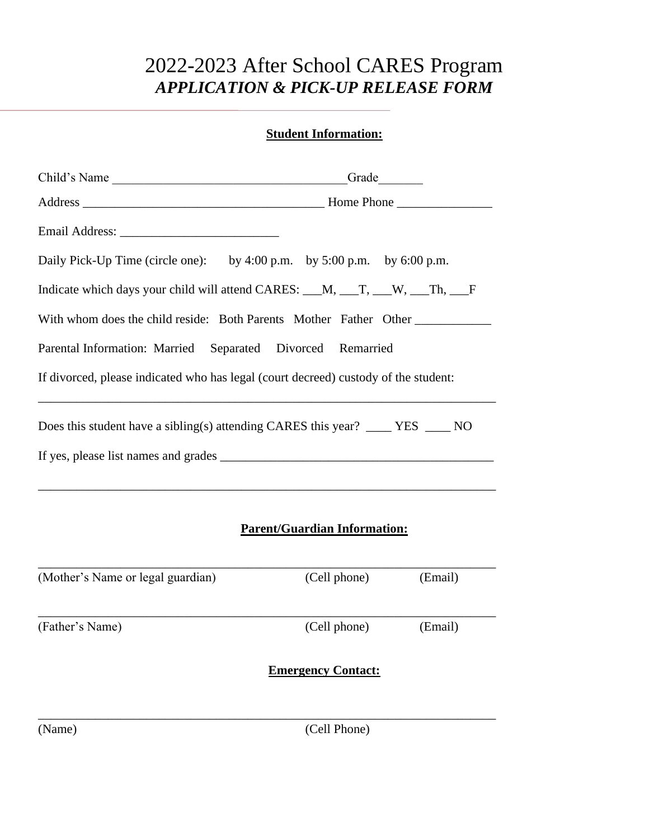## 2022-2023 After School CARES Program *APPLICATION & PICK-UP RELEASE FORM*

#### **Student Information:**

| Child's Name                                                                        |  |  |  |  |
|-------------------------------------------------------------------------------------|--|--|--|--|
|                                                                                     |  |  |  |  |
|                                                                                     |  |  |  |  |
| Daily Pick-Up Time (circle one): by 4:00 p.m. by 5:00 p.m. by 6:00 p.m.             |  |  |  |  |
| Indicate which days your child will attend CARES: __M, __T, __W, __Th, __F          |  |  |  |  |
| With whom does the child reside: Both Parents Mother Father Other                   |  |  |  |  |
| Parental Information: Married Separated Divorced Remarried                          |  |  |  |  |
| If divorced, please indicated who has legal (court decreed) custody of the student: |  |  |  |  |
| Does this student have a sibling(s) attending CARES this year? _____ YES _____ NO   |  |  |  |  |
|                                                                                     |  |  |  |  |
|                                                                                     |  |  |  |  |

#### **Parent/Guardian Information:**

| (Mother's Name or legal guardian) | (Cell phone)              | (Email) |
|-----------------------------------|---------------------------|---------|
| (Father's Name)                   | (Cell phone)              | (Email) |
|                                   | <b>Emergency Contact:</b> |         |
|                                   |                           |         |